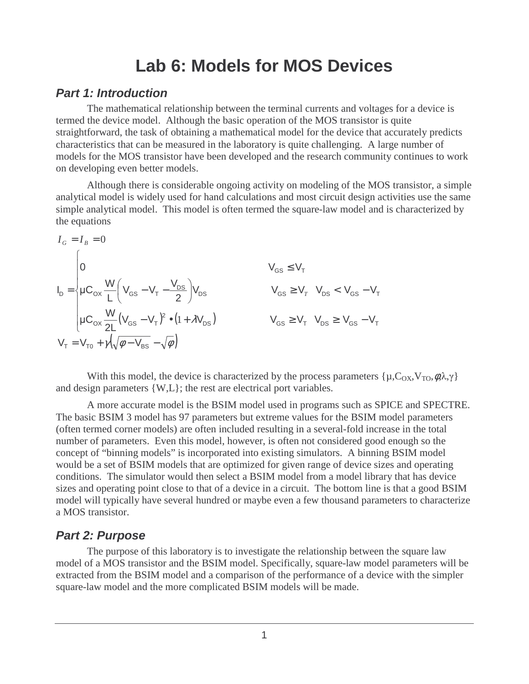# **Lab 6: Models for MOS Devices**

#### **Part 1: Introduction**

The mathematical relationship between the terminal currents and voltages for a device is termed the device model. Although the basic operation of the MOS transistor is quite straightforward, the task of obtaining a mathematical model for the device that accurately predicts characteristics that can be measured in the laboratory is quite challenging. A large number of models for the MOS transistor have been developed and the research community continues to work on developing even better models.

 Although there is considerable ongoing activity on modeling of the MOS transistor, a simple analytical model is widely used for hand calculations and most circuit design activities use the same simple analytical model. This model is often termed the square-law model and is characterized by the equations

$$
I_{G} = I_{B} = 0
$$
\n
$$
I_{D} = \begin{cases}\n0 & V_{GS} \le V_{T} \\
\mu C_{ox} \frac{W}{L} \left(V_{GS} - V_{T} - \frac{V_{DS}}{2}\right) V_{DS} & V_{GS} \ge V_{T} & V_{DS} < V_{GS} - V_{T} \\
\mu C_{ox} \frac{W}{2L} (V_{GS} - V_{T})^{2} \bullet (1 + \lambda V_{DS}) & V_{GS} \ge V_{T} & V_{DS} \ge V_{GS} - V_{T} \\
V_{T} = V_{T0} + \gamma \left(\sqrt{\phi - V_{BS}} - \sqrt{\phi}\right)\n\end{cases}
$$

With this model, the device is characterized by the process parameters  $\{\mu, C_{OX}, V_{TO}, \phi, \lambda, \gamma\}$ and design parameters {W,L}; the rest are electrical port variables.

 A more accurate model is the BSIM model used in programs such as SPICE and SPECTRE. The basic BSIM 3 model has 97 parameters but extreme values for the BSIM model parameters (often termed corner models) are often included resulting in a several-fold increase in the total number of parameters. Even this model, however, is often not considered good enough so the concept of "binning models" is incorporated into existing simulators. A binning BSIM model would be a set of BSIM models that are optimized for given range of device sizes and operating conditions. The simulator would then select a BSIM model from a model library that has device sizes and operating point close to that of a device in a circuit. The bottom line is that a good BSIM model will typically have several hundred or maybe even a few thousand parameters to characterize a MOS transistor.

#### **Part 2: Purpose**

The purpose of this laboratory is to investigate the relationship between the square law model of a MOS transistor and the BSIM model. Specifically, square-law model parameters will be extracted from the BSIM model and a comparison of the performance of a device with the simpler square-law model and the more complicated BSIM models will be made.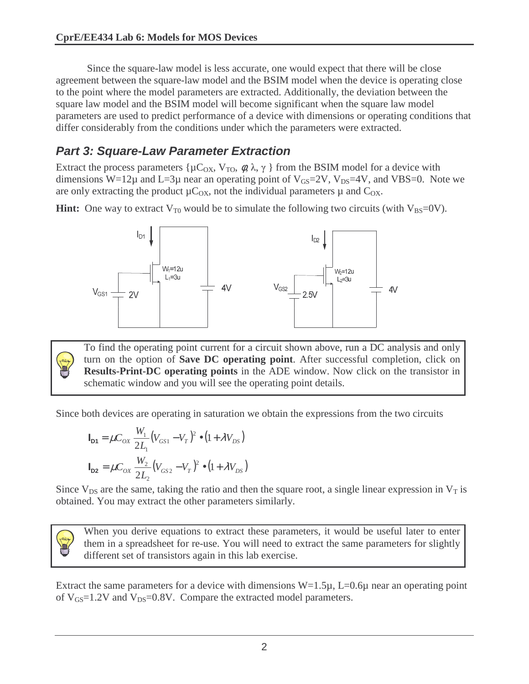Since the square-law model is less accurate, one would expect that there will be close agreement between the square-law model and the BSIM model when the device is operating close to the point where the model parameters are extracted. Additionally, the deviation between the square law model and the BSIM model will become significant when the square law model parameters are used to predict performance of a device with dimensions or operating conditions that differ considerably from the conditions under which the parameters were extracted.

### **Part 3: Square-Law Parameter Extraction**

Extract the process parameters { $\mu C_{OX}$ ,  $V_{TO}$ ,  $\phi$ ,  $\lambda$ ,  $\gamma$  } from the BSIM model for a device with dimensions W=12 $\mu$  and L=3 $\mu$  near an operating point of V<sub>GS</sub>=2V, V<sub>DS</sub>=4V, and VBS=0. Note we are only extracting the product  $\mu C_{OX}$ , not the individual parameters  $\mu$  and  $C_{OX}$ .

**Hint:** One way to extract  $V_{T0}$  would be to simulate the following two circuits (with  $V_{BS}=0$ V).



To find the operating point current for a circuit shown above, run a DC analysis and only turn on the option of **Save DC operating point**. After successful completion, click on **Results-Print-DC operating points** in the ADE window. Now click on the transistor in schematic window and you will see the operating point details.

Since both devices are operating in saturation we obtain the expressions from the two circuits

$$
\mathbf{I}_{\mathbf{D1}} = \mu C_{OX} \frac{W_1}{2L_1} (V_{GS1} - V_T)^2 \bullet (1 + \lambda V_{DS})
$$

$$
\mathbf{I}_{\mathbf{D2}} = \mu C_{OX} \frac{W_2}{2L_2} (V_{GS2} - V_T)^2 \bullet (1 + \lambda V_{DS})
$$

Since  $V_{DS}$  are the same, taking the ratio and then the square root, a single linear expression in  $V_T$  is obtained. You may extract the other parameters similarly.



When you derive equations to extract these parameters, it would be useful later to enter them in a spreadsheet for re-use. You will need to extract the same parameters for slightly different set of transistors again in this lab exercise.

Extract the same parameters for a device with dimensions  $W=1.5\mu$ ,  $L=0.6\mu$  near an operating point of  $V_{GS}$ =1.2V and  $V_{DS}$ =0.8V. Compare the extracted model parameters.